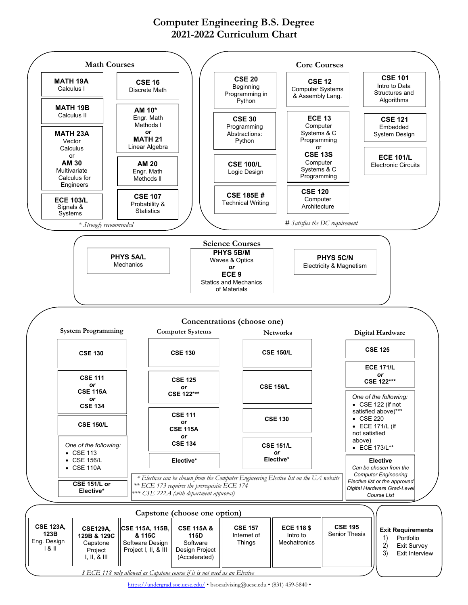## **Computer Engineering B.S. Degree 2021-2022 Curriculum Chart**



*\$ ECE 118 only allowed as Capstone course if it is not used as an Elective*

<https://undergrad.soe.ucsc.edu/> • bsoeadvising@ucsc.edu • (831) 459-5840 •